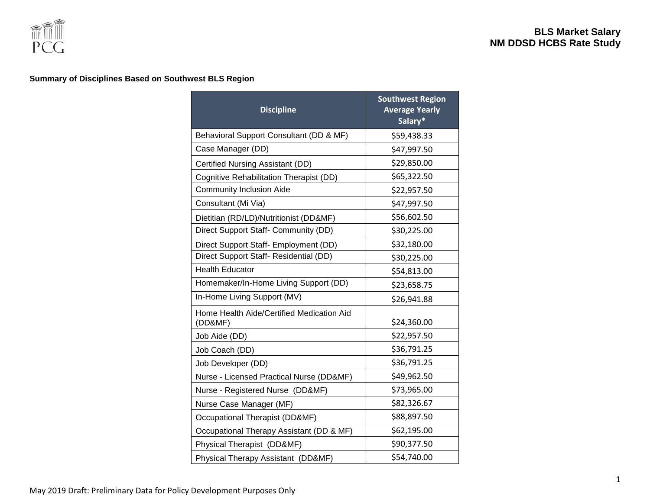

### **Summary of Disciplines Based on Southwest BLS Region**

| <b>Discipline</b>                                    | <b>Southwest Region</b><br><b>Average Yearly</b><br>Salary* |
|------------------------------------------------------|-------------------------------------------------------------|
| Behavioral Support Consultant (DD & MF)              | \$59,438.33                                                 |
| Case Manager (DD)                                    | \$47,997.50                                                 |
| Certified Nursing Assistant (DD)                     | \$29,850.00                                                 |
| Cognitive Rehabilitation Therapist (DD)              | \$65,322.50                                                 |
| <b>Community Inclusion Aide</b>                      | \$22,957.50                                                 |
| Consultant (Mi Via)                                  | \$47,997.50                                                 |
| Dietitian (RD/LD)/Nutritionist (DD&MF)               | \$56,602.50                                                 |
| Direct Support Staff- Community (DD)                 | \$30,225.00                                                 |
| Direct Support Staff- Employment (DD)                | \$32,180.00                                                 |
| Direct Support Staff- Residential (DD)               | \$30,225.00                                                 |
| <b>Health Educator</b>                               | \$54,813.00                                                 |
| Homemaker/In-Home Living Support (DD)                | \$23,658.75                                                 |
| In-Home Living Support (MV)                          | \$26,941.88                                                 |
| Home Health Aide/Certified Medication Aid<br>(DD&MF) | \$24,360.00                                                 |
| Job Aide (DD)                                        | \$22,957.50                                                 |
| Job Coach (DD)                                       | \$36,791.25                                                 |
| Job Developer (DD)                                   | \$36,791.25                                                 |
| Nurse - Licensed Practical Nurse (DD&MF)             | \$49,962.50                                                 |
| Nurse - Registered Nurse (DD&MF)                     | \$73,965.00                                                 |
| Nurse Case Manager (MF)                              | \$82,326.67                                                 |
| Occupational Therapist (DD&MF)                       | \$88,897.50                                                 |
| Occupational Therapy Assistant (DD & MF)             | \$62,195.00                                                 |
| Physical Therapist (DD&MF)                           | \$90,377.50                                                 |
| Physical Therapy Assistant (DD&MF)                   | \$54,740.00                                                 |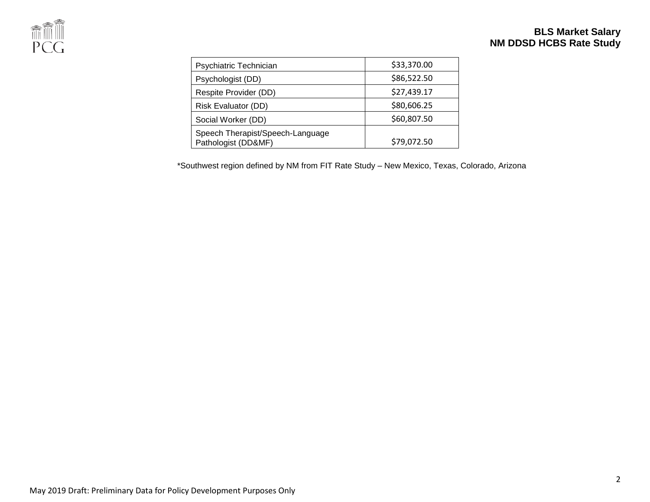

# **BLS Market Salary NM DDSD HCBS Rate Study**

| Psychiatric Technician                                  | \$33,370.00 |
|---------------------------------------------------------|-------------|
| Psychologist (DD)                                       | \$86,522.50 |
| Respite Provider (DD)                                   | \$27,439.17 |
| Risk Evaluator (DD)                                     | \$80,606.25 |
| Social Worker (DD)                                      | \$60,807.50 |
| Speech Therapist/Speech-Language<br>Pathologist (DD&MF) | \$79,072.50 |

\*Southwest region defined by NM from FIT Rate Study – New Mexico, Texas, Colorado, Arizona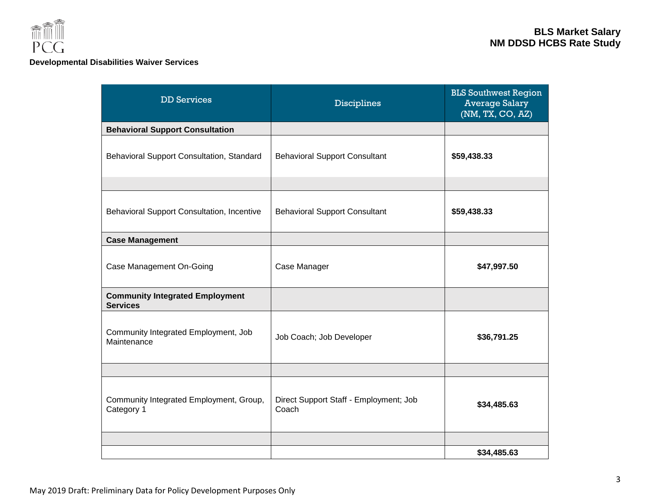

### **Developmental Disabilities Waiver Services**

| <b>DD Services</b>                                        | <b>Disciplines</b>                              | <b>BLS Southwest Region</b><br><b>Average Salary</b><br>(NM, TX, CO, AZ) |
|-----------------------------------------------------------|-------------------------------------------------|--------------------------------------------------------------------------|
| <b>Behavioral Support Consultation</b>                    |                                                 |                                                                          |
| Behavioral Support Consultation, Standard                 | <b>Behavioral Support Consultant</b>            | \$59,438.33                                                              |
|                                                           |                                                 |                                                                          |
| Behavioral Support Consultation, Incentive                | <b>Behavioral Support Consultant</b>            | \$59,438.33                                                              |
| <b>Case Management</b>                                    |                                                 |                                                                          |
| Case Management On-Going                                  | Case Manager                                    | \$47,997.50                                                              |
| <b>Community Integrated Employment</b><br><b>Services</b> |                                                 |                                                                          |
| Community Integrated Employment, Job<br>Maintenance       | Job Coach; Job Developer                        | \$36,791.25                                                              |
|                                                           |                                                 |                                                                          |
| Community Integrated Employment, Group,<br>Category 1     | Direct Support Staff - Employment; Job<br>Coach | \$34,485.63                                                              |
|                                                           |                                                 |                                                                          |
|                                                           |                                                 | \$34,485.63                                                              |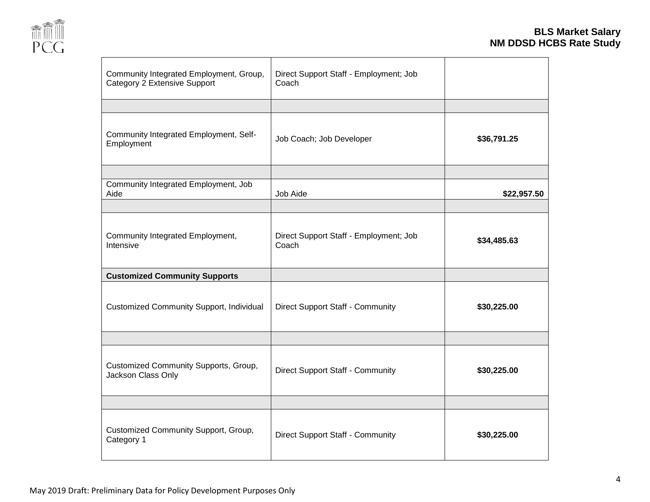

| Community Integrated Employment, Group,<br><b>Category 2 Extensive Support</b> | Direct Support Staff - Employment; Job<br>Coach |             |
|--------------------------------------------------------------------------------|-------------------------------------------------|-------------|
|                                                                                |                                                 |             |
| Community Integrated Employment, Self-<br>Employment                           | Job Coach; Job Developer                        | \$36,791.25 |
|                                                                                |                                                 |             |
| Community Integrated Employment, Job<br>Aide                                   | Job Aide                                        | \$22,957.50 |
|                                                                                |                                                 |             |
| Community Integrated Employment,<br>Intensive                                  | Direct Support Staff - Employment; Job<br>Coach | \$34,485.63 |
| <b>Customized Community Supports</b>                                           |                                                 |             |
| <b>Customized Community Support, Individual</b>                                | <b>Direct Support Staff - Community</b>         | \$30,225.00 |
|                                                                                |                                                 |             |
| Customized Community Supports, Group,<br>Jackson Class Only                    | <b>Direct Support Staff - Community</b>         | \$30,225.00 |
|                                                                                |                                                 |             |
| Customized Community Support, Group,<br>Category 1                             | Direct Support Staff - Community                | \$30,225.00 |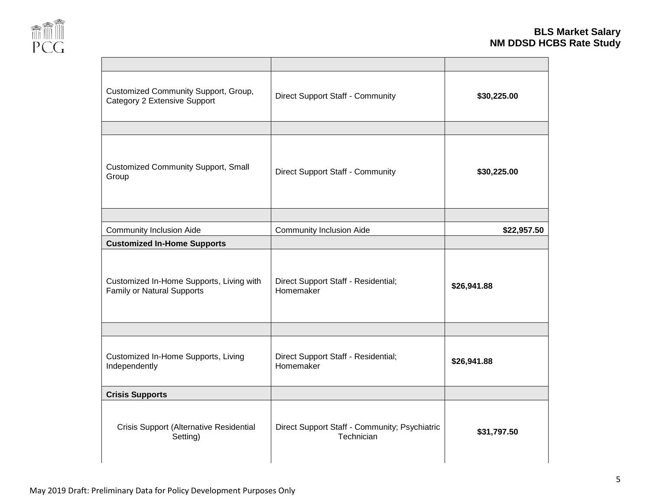

| Customized Community Support, Group,<br>Category 2 Extensive Support          | <b>Direct Support Staff - Community</b>                     | \$30,225.00 |
|-------------------------------------------------------------------------------|-------------------------------------------------------------|-------------|
|                                                                               |                                                             |             |
| <b>Customized Community Support, Small</b><br>Group                           | <b>Direct Support Staff - Community</b>                     | \$30,225.00 |
|                                                                               |                                                             |             |
| <b>Community Inclusion Aide</b>                                               | <b>Community Inclusion Aide</b>                             | \$22,957.50 |
| <b>Customized In-Home Supports</b>                                            |                                                             |             |
| Customized In-Home Supports, Living with<br><b>Family or Natural Supports</b> | Direct Support Staff - Residential;<br>Homemaker            | \$26,941.88 |
|                                                                               |                                                             |             |
| Customized In-Home Supports, Living<br>Independently                          | Direct Support Staff - Residential;<br>Homemaker            | \$26,941.88 |
| <b>Crisis Supports</b>                                                        |                                                             |             |
| Crisis Support (Alternative Residential<br>Setting)                           | Direct Support Staff - Community; Psychiatric<br>Technician | \$31,797.50 |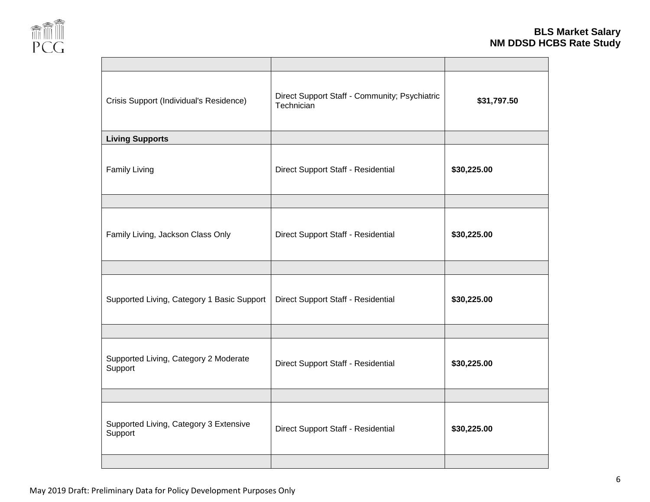

| Crisis Support (Individual's Residence)           | Direct Support Staff - Community; Psychiatric<br>Technician | \$31,797.50 |
|---------------------------------------------------|-------------------------------------------------------------|-------------|
| <b>Living Supports</b>                            |                                                             |             |
| <b>Family Living</b>                              | Direct Support Staff - Residential                          | \$30,225.00 |
|                                                   |                                                             |             |
| Family Living, Jackson Class Only                 | Direct Support Staff - Residential                          | \$30,225.00 |
|                                                   |                                                             |             |
| Supported Living, Category 1 Basic Support        | Direct Support Staff - Residential                          | \$30,225.00 |
|                                                   |                                                             |             |
| Supported Living, Category 2 Moderate<br>Support  | Direct Support Staff - Residential                          | \$30,225.00 |
|                                                   |                                                             |             |
| Supported Living, Category 3 Extensive<br>Support | Direct Support Staff - Residential                          | \$30,225.00 |
|                                                   |                                                             |             |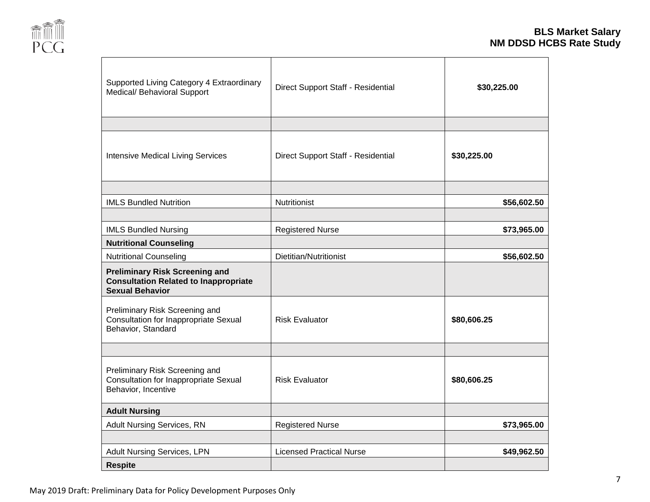

| Supported Living Category 4 Extraordinary<br>Medical/ Behavioral Support                                        | Direct Support Staff - Residential | \$30,225.00 |
|-----------------------------------------------------------------------------------------------------------------|------------------------------------|-------------|
|                                                                                                                 |                                    |             |
| <b>Intensive Medical Living Services</b>                                                                        | Direct Support Staff - Residential | \$30,225.00 |
|                                                                                                                 |                                    |             |
| <b>IMLS Bundled Nutrition</b>                                                                                   | <b>Nutritionist</b>                | \$56,602.50 |
|                                                                                                                 |                                    |             |
| <b>IMLS Bundled Nursing</b>                                                                                     | <b>Registered Nurse</b>            | \$73,965.00 |
| <b>Nutritional Counseling</b>                                                                                   |                                    |             |
| <b>Nutritional Counseling</b>                                                                                   | Dietitian/Nutritionist             | \$56,602.50 |
| <b>Preliminary Risk Screening and</b><br><b>Consultation Related to Inappropriate</b><br><b>Sexual Behavior</b> |                                    |             |
| Preliminary Risk Screening and<br><b>Consultation for Inappropriate Sexual</b><br>Behavior, Standard            | <b>Risk Evaluator</b>              | \$80,606.25 |
|                                                                                                                 |                                    |             |
| Preliminary Risk Screening and<br><b>Consultation for Inappropriate Sexual</b><br>Behavior, Incentive           | <b>Risk Evaluator</b>              | \$80,606.25 |
| <b>Adult Nursing</b>                                                                                            |                                    |             |
| <b>Adult Nursing Services, RN</b>                                                                               | <b>Registered Nurse</b>            | \$73,965.00 |
|                                                                                                                 |                                    |             |
| <b>Adult Nursing Services, LPN</b>                                                                              | <b>Licensed Practical Nurse</b>    | \$49,962.50 |
| <b>Respite</b>                                                                                                  |                                    |             |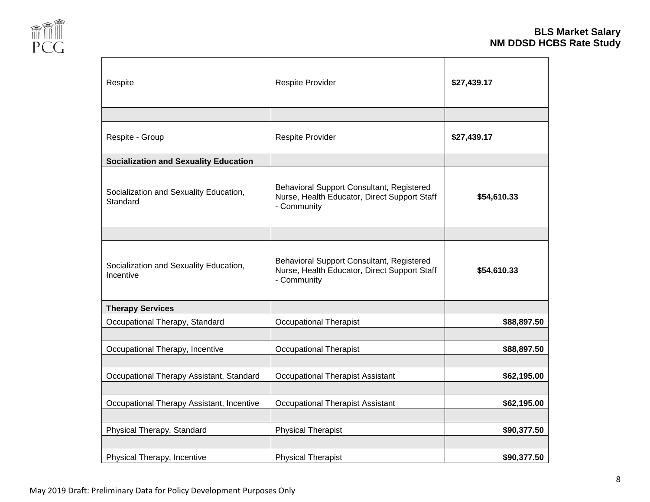

| Respite                                             | Respite Provider                                                                                         | \$27,439.17 |
|-----------------------------------------------------|----------------------------------------------------------------------------------------------------------|-------------|
|                                                     |                                                                                                          |             |
| Respite - Group                                     | Respite Provider                                                                                         | \$27,439.17 |
| <b>Socialization and Sexuality Education</b>        |                                                                                                          |             |
| Socialization and Sexuality Education,<br>Standard  | Behavioral Support Consultant, Registered<br>Nurse, Health Educator, Direct Support Staff<br>- Community | \$54,610.33 |
|                                                     |                                                                                                          |             |
| Socialization and Sexuality Education,<br>Incentive | Behavioral Support Consultant, Registered<br>Nurse, Health Educator, Direct Support Staff<br>- Community | \$54,610.33 |
| <b>Therapy Services</b>                             |                                                                                                          |             |
| Occupational Therapy, Standard                      | <b>Occupational Therapist</b>                                                                            | \$88,897.50 |
|                                                     |                                                                                                          |             |
| Occupational Therapy, Incentive                     | <b>Occupational Therapist</b>                                                                            | \$88,897.50 |
|                                                     |                                                                                                          |             |
| Occupational Therapy Assistant, Standard            | <b>Occupational Therapist Assistant</b>                                                                  | \$62,195.00 |
| Occupational Therapy Assistant, Incentive           | <b>Occupational Therapist Assistant</b>                                                                  | \$62,195.00 |
| Physical Therapy, Standard                          | <b>Physical Therapist</b>                                                                                | \$90,377.50 |
| Physical Therapy, Incentive                         | <b>Physical Therapist</b>                                                                                | \$90,377.50 |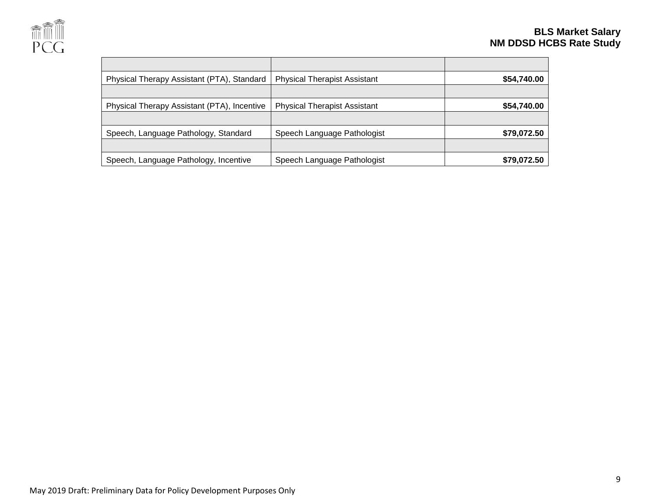

| Physical Therapy Assistant (PTA), Standard  | <b>Physical Therapist Assistant</b> | \$54,740.00 |
|---------------------------------------------|-------------------------------------|-------------|
|                                             |                                     |             |
| Physical Therapy Assistant (PTA), Incentive | <b>Physical Therapist Assistant</b> | \$54,740.00 |
|                                             |                                     |             |
| Speech, Language Pathology, Standard        | Speech Language Pathologist         | \$79,072.50 |
|                                             |                                     |             |
| Speech, Language Pathology, Incentive       | Speech Language Pathologist         | \$79,072.50 |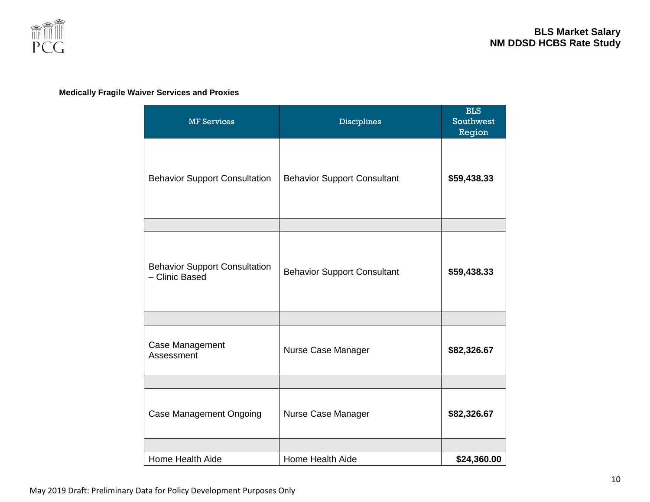

#### **Medically Fragile Waiver Services and Proxies**

| <b>MF Services</b>                                     | <b>Disciplines</b>                 | <b>BLS</b><br><b>Southwest</b><br>Region |
|--------------------------------------------------------|------------------------------------|------------------------------------------|
| <b>Behavior Support Consultation</b>                   | <b>Behavior Support Consultant</b> | \$59,438.33                              |
|                                                        |                                    |                                          |
| <b>Behavior Support Consultation</b><br>- Clinic Based | <b>Behavior Support Consultant</b> | \$59,438.33                              |
|                                                        |                                    |                                          |
| Case Management<br>Assessment                          | Nurse Case Manager                 | \$82,326.67                              |
|                                                        |                                    |                                          |
| <b>Case Management Ongoing</b>                         | Nurse Case Manager                 | \$82,326.67                              |
|                                                        |                                    |                                          |
| Home Health Aide                                       | Home Health Aide                   | \$24,360.00                              |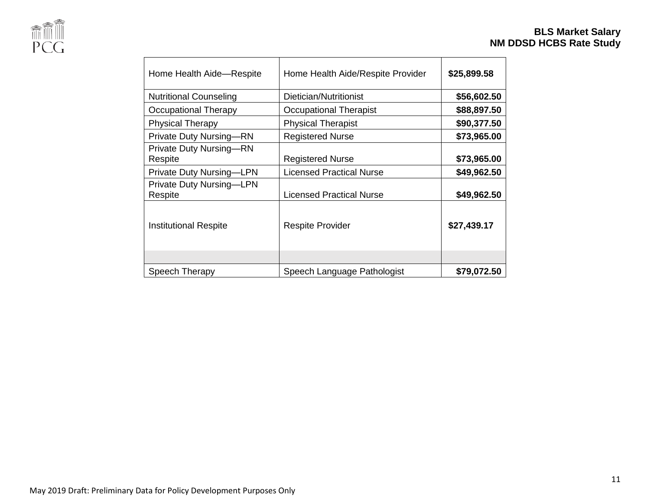

# **BLS Market Salary NM DDSD HCBS Rate Study**

| Home Health Aide-Respite                   | Home Health Aide/Respite Provider | \$25,899.58 |
|--------------------------------------------|-----------------------------------|-------------|
| <b>Nutritional Counseling</b>              | Dietician/Nutritionist            | \$56,602.50 |
| Occupational Therapy                       | Occupational Therapist            | \$88,897.50 |
| <b>Physical Therapy</b>                    | <b>Physical Therapist</b>         | \$90,377.50 |
| <b>Private Duty Nursing-RN</b>             | <b>Registered Nurse</b>           | \$73,965.00 |
| <b>Private Duty Nursing-RN</b><br>Respite  | <b>Registered Nurse</b>           | \$73,965.00 |
| <b>Private Duty Nursing-LPN</b>            | <b>Licensed Practical Nurse</b>   | \$49,962.50 |
| <b>Private Duty Nursing-LPN</b><br>Respite | <b>Licensed Practical Nurse</b>   | \$49,962.50 |
| Institutional Respite                      | <b>Respite Provider</b>           | \$27,439.17 |
|                                            |                                   |             |
| Speech Therapy                             | Speech Language Pathologist       | \$79,072.50 |